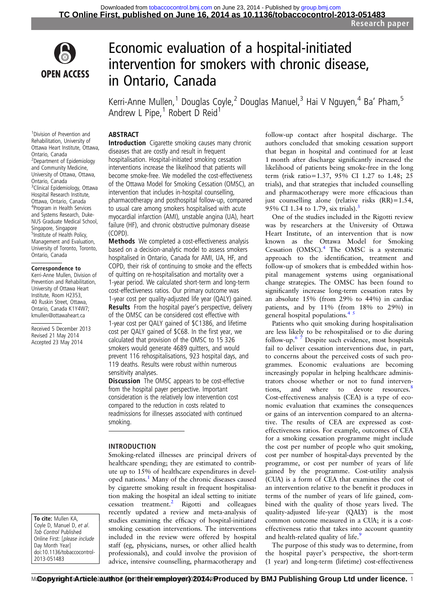

# Economic evaluation of a hospital-initiated intervention for smokers with chronic disease, in Ontario, Canada

Kerri-Anne Mullen,<sup>1</sup> Douglas Coyle,<sup>2</sup> Douglas Manuel,<sup>3</sup> Hai V Nguyen,<sup>4</sup> Ba' Pham,<sup>5</sup> Andrew L Pipe, $1$  Robert D Reid<sup>1</sup>

# **ABSTRACT**

1 Division of Prevention and Rehabilitation, University of Ottawa Heart Institute, Ottawa, Ontario, Canada 2 Department of Epidemiology and Community Medicine, University of Ottawa, Ottawa, Ontario, Canada <sup>3</sup> Clinical Epidemiology, Ottawa Hospital Research Institute, Ottawa, Ontario, Canada 4 Program in Health Services and Systems Research, Duke-NUS Graduate Medical School, Singapore, Singapore 5 Institute of Health Policy, Management and Evaluation, University of Toronto, Toronto, Ontario, Canada

#### Correspondence to

Kerri-Anne Mullen, Division of Prevention and Rehabilitation, University of Ottawa Heart Institute, Room H2353, 40 Ruskin Street, Ottawa, Ontario, Canada K1Y4W7; kmullen@ottawaheart.ca

Received 5 December 2013 Revised 21 May 2014 Accepted 23 May 2014

To cite: Mullen KA, Coyle D, Manuel D, et al. Tob Control Published Online First: [please include Day Month Year] doi:10.1136/tobaccocontrol-2013-051483

Introduction Cigarette smoking causes many chronic diseases that are costly and result in frequent hospitalisation. Hospital-initiated smoking cessation interventions increase the likelihood that patients will become smoke-free. We modelled the cost-effectiveness of the Ottawa Model for Smoking Cessation (OMSC), an intervention that includes in-hospital counselling, pharmacotherapy and posthospital follow-up, compared to usual care among smokers hospitalised with acute myocardial infarction (AMI), unstable angina (UA), heart failure (HF), and chronic obstructive pulmonary disease (COPD).

Methods We completed a cost-effectiveness analysis based on a decision-analytic model to assess smokers hospitalised in Ontario, Canada for AMI, UA, HF, and COPD, their risk of continuing to smoke and the effects of quitting on re-hospitalisation and mortality over a 1-year period. We calculated short-term and long-term cost-effectiveness ratios. Our primary outcome was 1-year cost per quality-adjusted life year (QALY) gained. Results From the hospital payer's perspective, delivery of the OMSC can be considered cost effective with 1-year cost per QALY gained of \$C1386, and lifetime cost per QALY gained of \$C68. In the first year, we calculated that provision of the OMSC to 15 326 smokers would generate 4689 quitters, and would prevent 116 rehospitalisations, 923 hospital days, and 119 deaths. Results were robust within numerous sensitivity analyses.

**Discussion** The OMSC appears to be cost-effective from the hospital payer perspective. Important consideration is the relatively low intervention cost compared to the reduction in costs related to readmissions for illnesses associated with continued smoking.

# INTRODUCTION

Smoking-related illnesses are principal drivers of healthcare spending; they are estimated to contribute up to 15% of healthcare expenditures in developed nations.[1](#page-6-0) Many of the chronic diseases caused by cigarette smoking result in frequent hospitalisation making the hospital an ideal setting to initiate cessation treatment.[2](#page-6-0) Rigotti and colleagues recently updated a review and meta-analysis of studies examining the efficacy of hospital-initiated smoking cessation interventions. The interventions included in the review were offered by hospital staff (eg, physicians, nurses, or other allied health professionals), and could involve the provision of advice, intensive counselling, pharmacotherapy and

follow-up contact after hospital discharge. The authors concluded that smoking cessation support that began in hospital and continued for at least 1 month after discharge significantly increased the likelihood of patients being smoke-free in the long term (risk ratio=1.37, 95% CI 1.27 to 1.48; 25 trials), and that strategies that included counselling and pharmacotherapy were more efficacious than just counselling alone (relative risks (RR)=1.54, 95% CI 1.34 to 1.79, six trials).[3](#page-6-0)

One of the studies included in the Rigotti review was by researchers at the University of Ottawa Heart Institute, of an intervention that is now known as the Ottawa Model for Smoking Cessation (OMSC).[4](#page-7-0) The OMSC is a systematic approach to the identification, treatment and follow-up of smokers that is embedded within hospital management systems using organisational change strategies. The OMSC has been found to significantly increase long-term cessation rates by an absolute 15% (from 29% to 44%) in cardiac patients, and by 11% (from 18% to 29%) in general hospital populations. $4^{5}$ 

Patients who quit smoking during hospitalisation are less likely to be rehospitalised or to die during follow-up. $6 \overline{7}$  Despite such evidence, most hospitals fail to deliver cessation interventions due, in part, to concerns about the perceived costs of such programmes. Economic evaluations are becoming increasingly popular in helping healthcare administrators choose whether or not to fund interven-tions, and where to devote resources.<sup>[8](#page-7-0)</sup> Cost-effectiveness analysis (CEA) is a type of economic evaluation that examines the consequences or gains of an intervention compared to an alternative. The results of CEA are expressed as costeffectiveness ratios. For example, outcomes of CEA for a smoking cessation programme might include the cost per number of people who quit smoking, cost per number of hospital-days prevented by the programme, or cost per number of years of life gained by the programme. Cost-utility analysis (CUA) is a form of CEA that examines the cost of an intervention relative to the benefit it produces in terms of the number of years of life gained, combined with the quality of those years lived. The quality-adjusted life-year (QALY) is the most common outcome measured in a CUA; it is a costeffectiveness ratio that takes into account quantity and health-related quality of life.<sup>[9](#page-7-0)</sup>

The purpose of this study was to determine, from the hospital payer's perspective, the short-term (1 year) and long-term (lifetime) cost-effectiveness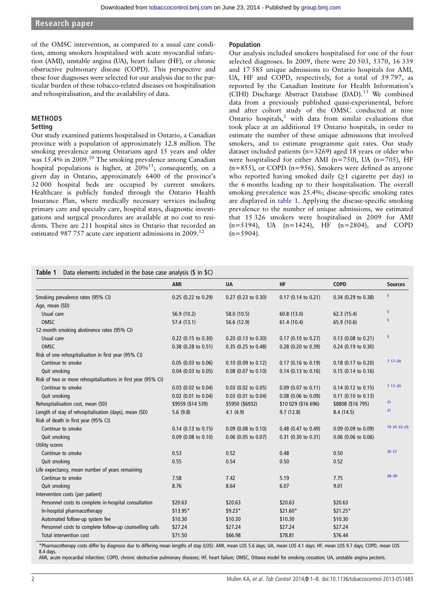<span id="page-1-0"></span>of the OMSC intervention, as compared to a usual care condition, among smokers hospitalised with acute myocardial infarction (AMI), unstable angina (UA), heart failure (HF), or chronic obstructive pulmonary disease (COPD). This perspective and these four diagnoses were selected for our analysis due to the particular burden of these tobacco-related diseases on hospitalisation and rehospitalisation, and the availability of data.

# METHODS

# Setting

Our study examined patients hospitalised in Ontario, a Canadian province with a population of approximately 12.8 million. The smoking prevalence among Ontarians aged 15 years and older was 15.4% in 2009.<sup>[10](#page-7-0)</sup> The smoking prevalence among Canadian hospital populations is higher, at  $20\%$ <sup>11</sup>; consequently, on a given day in Ontario, approximately 6400 of the province's 32 000 hospital beds are occupied by current smokers. Healthcare is publicly funded through the Ontario Health Insurance Plan, where medically necessary services including primary care and specialty care, hospital stays, diagnostic investigations and surgical procedures are available at no cost to residents. There are 211 hospital sites in Ontario that recorded an estimated 987 757 acute care inpatient admissions in 2009.<sup>[12](#page-7-0)</sup>

#### Population

Our analysis included smokers hospitalised for one of the four selected diagnoses. In 2009, there were 20 503, 5370, 16 339 and 17 585 unique admissions to Ontario hospitals for AMI, UA, HF and COPD, respectively, for a total of 59 797, as reported by the Canadian Institute for Health Information's (CIHI) Discharge Abstract Database (DAD).<sup>[13](#page-7-0)</sup> We combined data from a previously published quasi-experimental, before and after cohort study of the OMSC conducted at nine Ontario hospitals, $5$  with data from similar evaluations that took place at an additional 19 Ontario hospitals, in order to estimate the number of these unique admissions that involved smokers, and to estimate programme quit rates. Our study dataset included patients (n=3269) aged 18 years or older who were hospitalised for either AMI ( $n=750$ ), UA ( $n=705$ ), HF (n=855), or COPD (n=956). Smokers were defined as anyone who reported having smoked daily (≥1 cigarette per day) in the 6 months leading up to their hospitalisation. The overall smoking prevalence was 25.4%; disease-specific smoking rates are displayed in table 1. Applying the disease-specific smoking prevalence to the number of unique admissions, we estimated that 15 326 smokers were hospitalised in 2009 for AMI (n=5194), UA (n=1424), HF (n=2804), and COPD  $(n=5904)$ .

# Table 1 Data elements included in the base case analysis (\$ in \$C)

|                                                               | AMI                   | <b>UA</b>             | <b>HF</b>             | <b>COPD</b>           | <b>Sources</b> |
|---------------------------------------------------------------|-----------------------|-----------------------|-----------------------|-----------------------|----------------|
|                                                               |                       |                       |                       |                       | 5              |
| Smoking prevalence rates (95% CI)                             | $0.25$ (0.22 to 0.29) | $0.27$ (0.23 to 0.30) | 0.17 (0.14 to 0.21)   | 0.34 (0.29 to 0.38)   |                |
| Age, mean (SD)                                                |                       |                       |                       |                       | 5              |
| Usual care                                                    | 56.9 (10.2)           | 58.0 (10.5)           | 60.8(13.0)            | 62.3(15.4)            | 5              |
| OMSC                                                          | 57.4 (13.1)           | 56.6 (12.9)           | 61.4(10.4)            | 65.9 (10.6)           |                |
| 12-month smoking abstinence rates (95% CI)                    |                       |                       |                       |                       | 5              |
| Usual care                                                    | 0.22 (0.15 to 0.30)   | $0.20$ (0.13 to 0.30) | 0.17 (0.10 to 0.27)   | $0.13$ (0.08 to 0.21) |                |
| OMSC                                                          | $0.38$ (0.28 to 0.51) | $0.35$ (0.25 to 0.48) | 0.28 (0.20 to 0.39)   | 0.24 (0.19 to 0.30)   |                |
| Risk of one rehospitalisation in first year (95% CI)          |                       |                       |                       |                       |                |
| Continue to smoke                                             | $0.05$ (0.03 to 0.06) | $0.10$ (0.09 to 0.12) | $0.17$ (0.16 to 0.19) | 0.18 (0.17 to 0.20)   | $717 - 20$     |
| Quit smoking                                                  | $0.04$ (0.03 to 0.05) | $0.08$ (0.07 to 0.10) | $0.14$ (0.13 to 0.16) | 0.15 (0.14 to 0.16)   |                |
| Risk of two or more rehospitalisations in first year (95% CI) |                       |                       |                       |                       |                |
| Continue to smoke                                             | $0.03$ (0.02 to 0.04) | $0.03$ (0.02 to 0.05) | $0.09$ (0.07 to 0.11) | 0.14 (0.12 to 0.15)   | $717 - 20$     |
| Quit smoking                                                  | $0.02$ (0.01 to 0.04) | $0.03$ (0.01 to 0.04) | 0.08 (0.06 to 0.09)   | 0.11 (0.10 to 0.13)   |                |
| Rehospitalisation cost, mean (SD)                             | \$9559 (\$14 539)     | \$5950 (\$6932)       | \$10 029 (\$16 696)   | \$8808 (\$16 795)     | 21             |
| Length of stay of rehospitalisation (days), mean (SD)         | 5.6(9.8)              | 4.1(4.9)              | 9.7(12.8)             | 8.4(14.5)             | 21             |
| Risk of death in first year (95% CI)                          |                       |                       |                       |                       |                |
| Continue to smoke                                             | $0.14$ (0.13 to 0.15) | $0.09$ (0.08 to 0.10) | 0.48 (0.47 to 0.49)   | $0.09$ (0.09 to 0.09) | 19 20 22 - 25  |
| Quit smoking                                                  | $0.09$ (0.08 to 0.10) | $0.06$ (0.05 to 0.07) | 0.31 (0.30 to 0.31)   | 0.06 (0.06 to 0.06)   |                |
| Utility scores                                                |                       |                       |                       |                       |                |
| Continue to smoke                                             | 0.53                  | 0.52                  | 0.48                  | 0.50                  | 26 27          |
| Quit smoking                                                  | 0.55                  | 0.54                  | 0.50                  | 0.52                  |                |
| Life expectancy, mean number of years remaining               |                       |                       |                       |                       |                |
| Continue to smoke                                             | 7.58                  | 7.42                  | 5.19                  | 7.75                  | $28 - 30$      |
| Quit smoking                                                  | 8.76                  | 8.64                  | 6.07                  | 9.01                  |                |
| Intervention costs (per patient)                              |                       |                       |                       |                       |                |
| Personnel costs to complete in-hospital consultation          | \$20.63               | \$20.63               | \$20.63               | \$20.63               |                |
| In-hospital pharmacotherapy                                   | \$13.95*              | \$9.23*               | \$21.60*              | \$21.25*              |                |
| Automated follow-up system fee                                | \$10.30               | \$10.30               | \$10.30               | \$10.30               |                |
| Personnel costs to complete follow-up counselling calls       | \$27.24               | \$27.24               | \$27.24               | \$27.24               |                |
| Total intervention cost                                       | \$71.50               | \$66.98               | \$78.81               | \$76.44               |                |
|                                                               |                       |                       |                       |                       |                |

\*Pharmacotherapy costs differ by diagnosis due to differing mean lengths of stay (LOS): AMI, mean LOS 5.6 days; UA, mean LOS 4.1 days; HF, mean LOS 9.7 days; COPD, mean LOS 8.4 days.

AMI, acute myocardial infarction; COPD, chronic obstructive pulmonary diseases; HF, heart failure; OMSC, Ottawa model for smoking cessation; UA, unstable angina pectoris.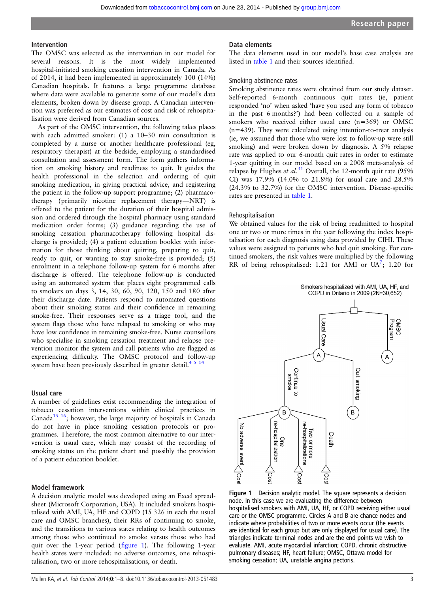# Intervention

The OMSC was selected as the intervention in our model for several reasons. It is the most widely implemented hospital-initiated smoking cessation intervention in Canada. As of 2014, it had been implemented in approximately 100 (14%) Canadian hospitals. It features a large programme database where data were available to generate some of our model's data elements, broken down by disease group. A Canadian intervention was preferred as our estimates of cost and risk of rehospitalisation were derived from Canadian sources.

As part of the OMSC intervention, the following takes places with each admitted smoker: (1) a 10–30 min consultation is completed by a nurse or another healthcare professional (eg, respiratory therapist) at the bedside, employing a standardised consultation and assessment form. The form gathers information on smoking history and readiness to quit. It guides the health professional in the selection and ordering of quit smoking medication, in giving practical advice, and registering the patient in the follow-up support programme; (2) pharmacotherapy (primarily nicotine replacement therapy—NRT) is offered to the patient for the duration of their hospital admission and ordered through the hospital pharmacy using standard medication order forms; (3) guidance regarding the use of smoking cessation pharmacotherapy following hospital discharge is provided; (4) a patient education booklet with information for those thinking about quitting, preparing to quit, ready to quit, or wanting to stay smoke-free is provided; (5) enrolment in a telephone follow-up system for 6 months after discharge is offered. The telephone follow-up is conducted using an automated system that places eight programmed calls to smokers on days 3, 14, 30, 60, 90, 120, 150 and 180 after their discharge date. Patients respond to automated questions about their smoking status and their confidence in remaining smoke-free. Their responses serve as a triage tool, and the system flags those who have relapsed to smoking or who may have low confidence in remaining smoke-free. Nurse counsellors who specialise in smoking cessation treatment and relapse prevention monitor the system and call patients who are flagged as experiencing difficulty. The OMSC protocol and follow-up system have been previously described in greater detail.<sup>4  $\frac{5}{14}$ </sup>

# Usual care

A number of guidelines exist recommending the integration of tobacco cessation interventions within clinical practices in Canada<sup>15 16</sup>; however, the large majority of hospitals in Canada do not have in place smoking cessation protocols or programmes. Therefore, the most common alternative to our intervention is usual care, which may consist of the recording of smoking status on the patient chart and possibly the provision of a patient education booklet.

# Model framework

A decision analytic model was developed using an Excel spreadsheet (Microsoft Corporation, USA). It included smokers hospitalised with AMI, UA, HF and COPD (15 326 in each the usual care and OMSC branches), their RRs of continuing to smoke, and the transitions to various states relating to health outcomes among those who continued to smoke versus those who had quit over the 1-year period (figure 1). The following 1-year health states were included: no adverse outcomes, one rehospitalisation, two or more rehospitalisations, or death.

The data elements used in our model's base case analysis are listed in [table 1](#page-1-0) and their sources identified.

# Smoking abstinence rates

Smoking abstinence rates were obtained from our study dataset. Self-reported 6-month continuous quit rates (ie, patient responded 'no' when asked 'have you used any form of tobacco in the past 6 months?') had been collected on a sample of smokers who received either usual care (n=369) or OMSC (n=439). They were calculated using intention-to-treat analysis (ie, we assumed that those who were lost to follow-up were still smoking) and were broken down by diagnosis. A 5% relapse rate was applied to our 6-month quit rates in order to estimate 1-year quitting in our model based on a 2008 meta-analysis of relapse by Hughes et al.<sup>[31](#page-7-0)</sup> Overall, the 12-month quit rate (95% CI) was 17.9% (14.0% to 21.8%) for usual care and 28.5% (24.3% to 32.7%) for the OMSC intervention. Disease-specific rates are presented in [table 1.](#page-1-0)

# Rehospitalisation

We obtained values for the risk of being readmitted to hospital one or two or more times in the year following the index hospitalisation for each diagnosis using data provided by CIHI. These values were assigned to patients who had quit smoking. For continued smokers, the risk values were multiplied by the following RR of being rehospitalised: 1.21 for AMI or  $UA^7$ ; 1.20 for



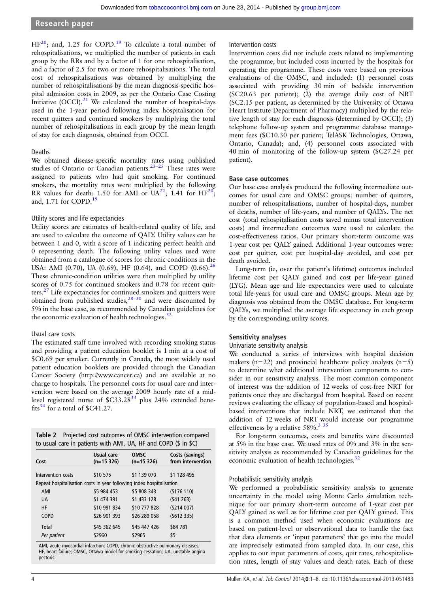<span id="page-3-0"></span> $HF<sup>20</sup>$  $HF<sup>20</sup>$  $HF<sup>20</sup>$ ; and, 1.25 for COPD.<sup>19</sup> To calculate a total number of rehospitalisations, we multiplied the number of patients in each group by the RRs and by a factor of 1 for one rehospitalisation, and a factor of 2.5 for two or more rehospitalisations. The total cost of rehospitalisations was obtained by multiplying the number of rehospitalisations by the mean diagnosis-specific hospital admission costs in 2009, as per the Ontario Case Costing Initiative (OCCI). $21$  We calculated the number of hospital-days used in the 1-year period following index hospitalisation for recent quitters and continued smokers by multiplying the total number of rehospitalisations in each group by the mean length of stay for each diagnosis, obtained from OCCI.

# Deaths

We obtained disease-specific mortality rates using published studies of Ontario or Canadian patients.<sup>[23](#page-7-0)–25</sup> These rates were assigned to patients who had quit smoking. For continued smokers, the mortality rates were multiplied by the following RR values for death: 1.50 for AMI or  $UA^{22}$  $UA^{22}$  $UA^{22}$ ; 1.41 for  $HF^{20}$ ; and, 1.71 for COPD.<sup>[19](#page-7-0)</sup>

# Utility scores and life expectancies

Utility scores are estimates of health-related quality of life, and are used to calculate the outcome of QALY. Utility values can be between 1 and 0, with a score of 1 indicating perfect health and 0 representing death. The following utility values used were obtained from a catalogue of scores for chronic conditions in the USA: AMI (0.70), UA (0.69), HF (0.64), and COPD (0.66).<sup>[26](#page-7-0)</sup> These chronic-condition utilities were then multiplied by utility scores of 0.75 for continued smokers and 0.78 for recent quitters.[27](#page-7-0) Life expectancies for continued smokers and quitters were obtained from published studies, $28-30$  $28-30$  and were discounted by 5% in the base case, as recommended by Canadian guidelines for the economic evaluation of health technologies. $32$ 

# Usual care costs

The estimated staff time involved with recording smoking status and providing a patient education booklet is 1 min at a cost of \$C0.69 per smoker. Currently in Canada, the most widely used patient education booklets are provided through the Canadian Cancer Society (<http://www.cancer.ca>) and are available at no charge to hospitals. The personnel costs for usual care and intervention were based on the average 2009 hourly rate of a midlevel registered nurse of  $$C33.28<sup>33</sup>$  plus 24% extended benefits $34$  for a total of \$C41.27.

| Table 2 Projected cost outcomes of OMSC intervention compared   |
|-----------------------------------------------------------------|
| to usual care in patients with AMI, UA, HF and COPD (\$ in \$C) |

| Cost                                                                            | Usual care<br>$(n=15326)$ | <b>OMSC</b><br>$(n=15326)$ | Costs (savings)<br>from intervention |
|---------------------------------------------------------------------------------|---------------------------|----------------------------|--------------------------------------|
| Intervention costs                                                              | \$10 575                  | \$1 139 070                | \$1 128 495                          |
| Repeat hospitalisation costs in year following index hospitalisation            |                           |                            |                                      |
| AMI                                                                             | \$5 984 453               | \$5 808 343                | (5176110)                            |
| <b>UA</b>                                                                       | \$1 474 391               | \$1 433 128                | (541263)                             |
| HF                                                                              | \$10 991 834              | \$10 777 828               | (5214007)                            |
| <b>COPD</b>                                                                     | \$26 901 393              | \$26 289 058               | (5612 335)                           |
| Total                                                                           | \$45 362 645              | \$45 447 426               | \$84 781                             |
| Per patient                                                                     | \$2960                    | \$2965                     | \$5                                  |
| AMI, acute myocardial infarction; COPD, chronic obstructive pulmonary diseases; |                           |                            |                                      |

HF, heart failure; OMSC, Ottawa model for smoking cessation; UA, unstable angina pectoris.

#### Intervention costs

Intervention costs did not include costs related to implementing the programme, but included costs incurred by the hospitals for operating the programme. These costs were based on previous evaluations of the OMSC, and included: (1) personnel costs associated with providing 30 min of bedside intervention (\$C20.63 per patient); (2) the average daily cost of NRT (\$C2.15 per patient, as determined by the University of Ottawa Heart Institute Department of Pharmacy) multiplied by the relative length of stay for each diagnosis (determined by OCCI); (3) telephone follow-up system and programme database management fees (\$C10.30 per patient; TelASK Technologies, Ottawa, Ontario, Canada); and, (4) personnel costs associated with 40 min of monitoring of the follow-up system (\$C27.24 per patient).

#### Base case outcomes

Our base case analysis produced the following intermediate outcomes for usual care and OMSC groups: number of quitters, number of rehospitalisations, number of hospital-days, number of deaths, number of life-years, and number of QALYs. The net cost (total rehospitalisation costs saved minus total intervention costs) and intermediate outcomes were used to calculate the cost-effectiveness ratios. Our primary short-term outcome was 1-year cost per QALY gained. Additional 1-year outcomes were: cost per quitter, cost per hospital-day avoided, and cost per death avoided.

Long-term (ie, over the patient's lifetime) outcomes included lifetime cost per QALY gained and cost per life-year gained (LYG). Mean age and life expectancies were used to calculate total life-years for usual care and OMSC groups. Mean age by diagnosis was obtained from the OMSC database. For long-term QALYs, we multiplied the average life expectancy in each group by the corresponding utility scores.

# Sensitivity analyses

# Univariate sensitivity analysis

We conducted a series of interviews with hospital decision makers ( $n=22$ ) and provincial healthcare policy analysts ( $n=5$ ) to determine what additional intervention components to consider in our sensitivity analysis. The most common component of interest was the addition of 12 weeks of cost-free NRT for patients once they are discharged from hospital. Based on recent reviews evaluating the efficacy of population-based and hospitalbased interventions that include NRT, we estimated that the addition of 12 weeks of NRT would increase our programme effectiveness by a relative  $58\%$ .<sup>[3](#page-6-0)35</sup>

For long-term outcomes, costs and benefits were discounted at 5% in the base case. We used rates of 0% and 3% in the sensitivity analysis as recommended by Canadian guidelines for the economic evaluation of health technologies.<sup>[32](#page-7-0)</sup>

# Probabilistic sensitivity analysis

We performed a probabilistic sensitivity analysis to generate uncertainty in the model using Monte Carlo simulation technique for our primary short-term outcome of 1-year cost per QALY gained as well as for lifetime cost per QALY gained. This is a common method used when economic evaluations are based on patient-level or observational data to handle the fact that data elements or 'input parameters' that go into the model are imprecisely estimated from sampled data. In our case, this applies to our input parameters of costs, quit rates, rehospitalisation rates, length of stay values and death rates. Each of these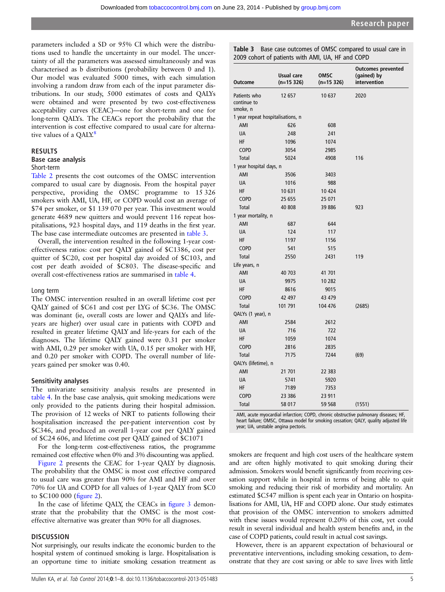parameters included a SD or 95% CI which were the distributions used to handle the uncertainty in our model. The uncertainty of all the parameters was assessed simultaneously and was characterised as b distributions (probability between 0 and 1). Our model was evaluated 5000 times, with each simulation involving a random draw from each of the input parameter distributions. In our study, 5000 estimates of costs and QALYs were obtained and were presented by two cost-effectiveness acceptability curves (CEAC)—one for short-term and one for long-term QALYs. The CEACs report the probability that the intervention is cost effective compared to usual care for alterna-tive values of a QALY.<sup>[8](#page-7-0)</sup>

#### RESULTS

# Base case analysis

Short-term

[Table 2](#page-3-0) presents the cost outcomes of the OMSC intervention compared to usual care by diagnosis. From the hospital payer perspective, providing the OMSC programme to 15 326 smokers with AMI, UA, HF, or COPD would cost an average of \$74 per smoker, or \$1 139 070 per year. This investment would generate 4689 new quitters and would prevent 116 repeat hospitalisations, 923 hospital days, and 119 deaths in the first year. The base case intermediate outcomes are presented in table 3.

Overall, the intervention resulted in the following 1-year costeffectiveness ratios: cost per QALY gained of \$C1386, cost per quitter of \$C20, cost per hospital day avoided of \$C103, and cost per death avoided of \$C803. The disease-specific and overall cost-effectiveness ratios are summarised in [table 4.](#page-5-0)

#### Long term

The OMSC intervention resulted in an overall lifetime cost per QALY gained of \$C61 and cost per LYG of \$C36. The OMSC was dominant (ie, overall costs are lower and QALYs and lifeyears are higher) over usual care in patients with COPD and resulted in greater lifetime QALY and life-years for each of the diagnoses. The lifetime QALY gained were 0.31 per smoker with AMI, 0.29 per smoker with UA, 0.15 per smoker with HF, and 0.20 per smoker with COPD. The overall number of lifeyears gained per smoker was 0.40.

#### Sensitivity analyses

The univariate sensitivity analysis results are presented in [table 4.](#page-5-0) In the base case analysis, quit smoking medications were only provided to the patients during their hospital admission. The provision of 12 weeks of NRT to patients following their hospitalisation increased the per-patient intervention cost by \$C346, and produced an overall 1-year cost per QALY gained of \$C24 606, and lifetime cost per QALY gained of \$C1071

For the long-term cost-effectiveness ratios, the programme remained cost effective when 0% and 3% discounting was applied.

[Figure 2](#page-5-0) presents the CEAC for 1-year QALY by diagnosis. The probability that the OMSC is most cost effective compared to usual care was greater than 90% for AMI and HF and over 70% for UA and COPD for all values of 1-year QALY from \$C0 to \$C100 000 (fi[gure 2\)](#page-5-0).

In the case of lifetime QALY, the CEACs in fi[gure 3](#page-5-0) demonstrate that the probability that the OMSC is the most costeffective alternative was greater than 90% for all diagnoses.

# **DISCUSSION**

Not surprisingly, our results indicate the economic burden to the hospital system of continued smoking is large. Hospitalisation is an opportune time to initiate smoking cessation treatment as

Table 3 Base case outcomes of OMSC compared to usual care in 2009 cohort of patients with AMI, UA, HF and COPD

| <b>Outcome</b>                    | Usual care<br>$(n=15 326)$ | OMSC<br>$(n=15 326)$ | <b>Outcomes prevented</b><br>(gained) by<br>intervention |
|-----------------------------------|----------------------------|----------------------|----------------------------------------------------------|
|                                   |                            |                      |                                                          |
| Patients who<br>continue to       | 12 657                     | 10 637               | 2020                                                     |
| smoke, n                          |                            |                      |                                                          |
| 1 year repeat hospitalisations, n |                            |                      |                                                          |
| AMI                               | 626                        | 608                  |                                                          |
| <b>UA</b>                         | 248                        | 241                  |                                                          |
| HF                                | 1096                       | 1074                 |                                                          |
| <b>COPD</b>                       | 3054                       | 2985                 |                                                          |
| Total                             | 5024                       | 4908                 | 116                                                      |
| 1 year hospital days, n           |                            |                      |                                                          |
| AMI                               | 3506                       | 3403                 |                                                          |
| UA                                | 1016                       | 988                  |                                                          |
| ΗF                                | 10 631                     | 10 424               |                                                          |
| <b>COPD</b>                       | 25 655                     | 25 071               |                                                          |
| <b>Total</b>                      | 40 808                     | 39 886               | 923                                                      |
| 1 year mortality, n               |                            |                      |                                                          |
| AMI                               | 687                        | 644                  |                                                          |
| <b>UA</b>                         | 124                        | 117                  |                                                          |
| ΗF                                | 1197                       | 1156                 |                                                          |
| <b>COPD</b>                       | 541                        | 515                  |                                                          |
| <b>Total</b>                      | 2550                       | 2431                 | 119                                                      |
| Life years, n                     |                            |                      |                                                          |
| AMI                               | 40 703                     | 41 701               |                                                          |
| <b>UA</b>                         | 9975                       | 10 282               |                                                          |
| HF                                | 8616                       | 9015                 |                                                          |
| <b>COPD</b>                       | 42 497                     | 43 479               |                                                          |
| Total                             | 101 791                    | 104 476              | (2685)                                                   |
| QALYs (1 year), n                 |                            |                      |                                                          |
| AMI                               | 2584                       | 2612                 |                                                          |
| UA                                | 716                        | 722                  |                                                          |
| ΗF                                | 1059                       | 1074                 |                                                          |
| <b>COPD</b>                       | 2816                       | 2835                 |                                                          |
| Total                             | 7175                       | 7244                 | (69)                                                     |
| QALYs (lifetime), n               |                            |                      |                                                          |
| AMI                               | 21 701                     | 22 383               |                                                          |
| UA                                | 5741                       | 5920                 |                                                          |
| ΗF                                | 7189                       | 7353                 |                                                          |
| COPD                              | 23 386                     | 23 911               |                                                          |
| <b>Total</b>                      | 58 017                     | 59 568               | (1551)                                                   |

AMI, acute myocardial infarction; COPD, chronic obstructive pulmonary diseases; HF, heart failure; OMSC, Ottawa model for smoking cessation; QALY, quality adjusted life year; UA, unstable angina pectoris.

smokers are frequent and high cost users of the healthcare system and are often highly motivated to quit smoking during their admission. Smokers would benefit significantly from receiving cessation support while in hospital in terms of being able to quit smoking and reducing their risk of morbidity and mortality. An estimated \$C547 million is spent each year in Ontario on hospitalisations for AMI, UA, HF and COPD alone. Our study estimates that provision of the OMSC intervention to smokers admitted with these issues would represent 0.20% of this cost, yet could result in several individual and health system benefits and, in the case of COPD patients, could result in actual cost savings.

However, there is an apparent expectation of behavioural or preventative interventions, including smoking cessation, to demonstrate that they are cost saving or able to save lives with little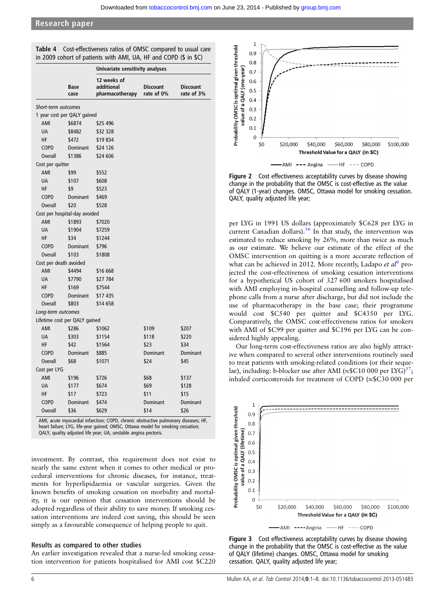|                        |                               | Univariate sensitivity analyses              |                               |                               |  |
|------------------------|-------------------------------|----------------------------------------------|-------------------------------|-------------------------------|--|
|                        | Base<br>case                  | 12 weeks of<br>additional<br>pharmacotherapy | <b>Discount</b><br>rate of 0% | <b>Discount</b><br>rate of 3% |  |
| Short-term outcomes    |                               |                                              |                               |                               |  |
|                        | 1 year cost per QALY gained   |                                              |                               |                               |  |
| AMI                    | \$6874                        | \$25 496                                     |                               |                               |  |
| <b>UA</b>              | \$8482                        | \$32 328                                     |                               |                               |  |
| ΗF                     | \$472                         | \$19834                                      |                               |                               |  |
| <b>COPD</b>            | <b>Dominant</b>               | \$24 126                                     |                               |                               |  |
| <b>Overall</b>         | \$1386                        | \$24 606                                     |                               |                               |  |
| Cost per quitter       |                               |                                              |                               |                               |  |
| AMI                    | \$99                          | \$552                                        |                               |                               |  |
| <b>UA</b>              | \$107                         | \$608                                        |                               |                               |  |
| HF                     | \$9                           | \$523                                        |                               |                               |  |
| <b>COPD</b>            | <b>Dominant</b>               | \$469                                        |                               |                               |  |
| <b>Overall</b>         | \$20                          | \$528                                        |                               |                               |  |
|                        | Cost per hospital-day avoided |                                              |                               |                               |  |
| AMI                    | \$1893                        | \$7020                                       |                               |                               |  |
| <b>UA</b>              | \$1904                        | \$7259                                       |                               |                               |  |
| HF                     | \$34                          | \$1244                                       |                               |                               |  |
| <b>COPD</b>            | Dominant                      | \$796                                        |                               |                               |  |
| <b>Overall</b>         | \$103                         | \$1808                                       |                               |                               |  |
| Cost per death avoided |                               |                                              |                               |                               |  |
| AMI                    | \$4494                        | \$16 668                                     |                               |                               |  |
| <b>UA</b>              | \$7790                        | \$27 784                                     |                               |                               |  |
| ΗF                     | \$169                         | \$7544                                       |                               |                               |  |
| <b>COPD</b>            | <b>Dominant</b>               | \$17 435                                     |                               |                               |  |
| <b>Overall</b>         | \$803                         | \$14 658                                     |                               |                               |  |
| Long-term outcomes     |                               |                                              |                               |                               |  |
|                        | Lifetime cost per QALY gained |                                              |                               |                               |  |
| AMI                    | \$286                         | \$1062                                       | \$109                         | \$207                         |  |
| <b>UA</b>              | \$303                         | \$1154                                       | \$118                         | \$220                         |  |
| ΗF                     | \$42                          | \$1564                                       | \$23                          | \$34                          |  |
| <b>COPD</b>            | Dominant                      | \$885                                        | Dominant                      | Dominant                      |  |
| <b>Overall</b>         | \$68                          | \$1071                                       | \$24                          | \$45                          |  |
| Cost per LYG           |                               |                                              |                               |                               |  |
| AMI                    | \$196                         | \$726                                        | \$68                          | \$137                         |  |
| <b>UA</b>              | \$177                         | \$674                                        | \$69                          | \$128                         |  |
| ΗF                     | \$17                          | \$723                                        | \$11                          | \$15                          |  |
| <b>COPD</b>            | Dominant                      | \$474                                        | Dominant                      | Dominant                      |  |
| Overall                | \$36                          | \$629                                        | \$14                          | \$26                          |  |

<span id="page-5-0"></span>Table 4 Cost-effectiveness ratios of OMSC compared to usual care in 2009 cohort of patients with AMI, UA, HF and COPD (\$ in \$C)

AMI, acute myocardial infarction; COPD, chronic obstructive pulmonary diseases; HF, heart failure; LYG, life-year gained; OMSC, Ottawa model for smoking cessation; QALY, quality adjusted life year; UA, unstable angina pectoris.

investment. By contrast, this requirement does not exist to nearly the same extent when it comes to other medical or procedural interventions for chronic diseases, for instance, treatments for hyperlipidaemia or vascular surgeries. Given the known benefits of smoking cessation on morbidity and mortality, it is our opinion that cessation interventions should be adopted regardless of their ability to save money. If smoking cessation interventions are indeed cost saving, this should be seen simply as a favourable consequence of helping people to quit.

# Results as compared to other studies

An earlier investigation revealed that a nurse-led smoking cessation intervention for patients hospitalised for AMI cost \$C220



Figure 2 Cost effectiveness acceptability curves by disease showing change in the probability that the OMSC is cost-effective as the value of QALY (1-year) changes. OMSC, Ottawa model for smoking cessation. QALY, quality adjusted life year;

per LYG in 1991 US dollars (approximately \$C628 per LYG in current Canadian dollars). $36$  In that study, the intervention was estimated to reduce smoking by 26%, more than twice as much as our estimate. We believe our estimate of the effect of the OMSC intervention on quitting is a more accurate reflection of what can be achieved in 2012. More recently, Ladapo et  $al^6$  $al^6$  projected the cost-effectiveness of smoking cessation interventions for a hypothetical US cohort of 327 600 smokers hospitalised with AMI employing in-hospital counselling and follow-up telephone calls from a nurse after discharge, but did not include the use of pharmacotherapy in the base case; their programme would cost \$C540 per quitter and \$C4350 per LYG. Comparatively, the OMSC cost-effectiveness ratios for smokers with AMI of \$C99 per quitter and \$C196 per LYG can be considered highly appealing.

Our long-term cost-effectiveness ratios are also highly attractive when compared to several other interventions routinely used to treat patients with smoking-related conditions (or their sequelae), including: b-blocker use after AMI ( $\approx$ \$C10 000 per LYG)<sup>[37](#page-7-0)</sup>; inhaled corticosteroids for treatment of COPD (≈\$C30 000 per



Figure 3 Cost effectiveness acceptability curves by disease showing change in the probability that the OMSC is cost-effective as the value of QALY (lifetime) changes. OMSC, Ottawa model for smoking cessation. QALY, quality adjusted life year;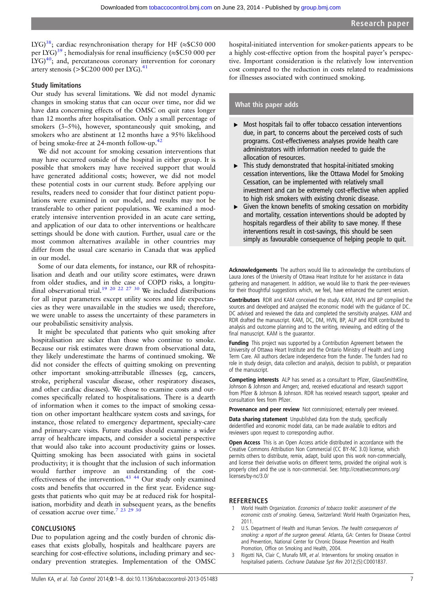<span id="page-6-0"></span>LYG)<sup>38</sup>; cardiac resynchronisation therapy for HF ( $\approx$ \$C50 000 per LYG)<sup>39</sup>; hemodialysis for renal insufficiency ( $\approx$ \$C50 000 per  $LYG<sub>1</sub><sup>40</sup>$ ; and, percutaneous coronary intervention for coronary artery stenosis ( $>\$C200 000$  per LYG).<sup>[41](#page-7-0)</sup>

# Study limitations

Our study has several limitations. We did not model dynamic changes in smoking status that can occur over time, nor did we have data concerning effects of the OMSC on quit rates longer than 12 months after hospitalisation. Only a small percentage of smokers (3–5%), however, spontaneously quit smoking, and smokers who are abstinent at 12 months have a 95% likelihood of being smoke-free at 24-month follow-up.[42](#page-7-0)

We did not account for smoking cessation interventions that may have occurred outside of the hospital in either group. It is possible that smokers may have received support that would have generated additional costs; however, we did not model these potential costs in our current study. Before applying our results, readers need to consider that four distinct patient populations were examined in our model, and results may not be transferable to other patient populations. We examined a moderately intensive intervention provided in an acute care setting, and application of our data to other interventions or healthcare settings should be done with caution. Further, usual care or the most common alternatives available in other countries may differ from the usual care scenario in Canada that was applied in our model.

Some of our data elements, for instance, our RR of rehospitalisation and death and our utility score estimates, were drawn from older studies, and in the case of COPD risks, a longitu-dinal observational trial.<sup>[19 20 22 27 30](#page-7-0)</sup> We included distributions for all input parameters except utility scores and life expectancies as they were unavailable in the studies we used; therefore, we were unable to assess the uncertainty of these parameters in our probabilistic sensitivity analysis.

It might be speculated that patients who quit smoking after hospitalisation are sicker than those who continue to smoke. Because our risk estimates were drawn from observational data, they likely underestimate the harms of continued smoking. We did not consider the effects of quitting smoking on preventing other important smoking-attributable illnesses (eg, cancers, stroke, peripheral vascular disease, other respiratory diseases, and other cardiac diseases). We chose to examine costs and outcomes specifically related to hospitalisations. There is a dearth of information when it comes to the impact of smoking cessation on other important healthcare system costs and savings, for instance, those related to emergency department, specialty-care and primary-care visits. Future studies should examine a wider array of healthcare impacts, and consider a societal perspective that would also take into account productivity gains or losses. Quitting smoking has been associated with gains in societal productivity; it is thought that the inclusion of such information would further improve an understanding of the costeffectiveness of the intervention. $43 \frac{44}{10}$  Our study only examined costs and benefits that occurred in the first year. Evidence suggests that patients who quit may be at reduced risk for hospitalisation, morbidity and death in subsequent years, as the benefits of cessation accrue over time.<sup>7</sup> <sup>23</sup> <sup>29</sup> <sup>30</sup>

# **CONCLUSIONS**

Due to population ageing and the costly burden of chronic diseases that exists globally, hospitals and healthcare payers are searching for cost-effective solutions, including primary and secondary prevention strategies. Implementation of the OMSC

hospital-initiated intervention for smoker-patients appears to be a highly cost-effective option from the hospital payer's perspective. Important consideration is the relatively low intervention cost compared to the reduction in costs related to readmissions for illnesses associated with continued smoking.

# What this paper adds

- ▸ Most hospitals fail to offer tobacco cessation interventions due, in part, to concerns about the perceived costs of such programs. Cost-effectiveness analyses provide health care administrators with information needed to guide the allocation of resources.
- $\blacktriangleright$  This study demonstrated that hospital-initiated smoking cessation interventions, like the Ottawa Model for Smoking Cessation, can be implemented with relatively small investment and can be extremely cost-effective when applied to high risk smokers with existing chronic disease.
- $\triangleright$  Given the known benefits of smoking cessation on morbidity and mortality, cessation interventions should be adopted by hospitals regardless of their ability to save money. If these interventions result in cost-savings, this should be seen simply as favourable consequence of helping people to quit.

Acknowledgements The authors would like to acknowledge the contributions of Laura Jones of the University of Ottawa Heart Institute for her assistance in data gathering and management. In addition, we would like to thank the peer-reviewers for their thoughtful suggestions which, we feel, have enhanced the current version.

Contributors RDR and KAM conceived the study. KAM, HVN and BP compiled the sources and developed and analysed the economic model with the guidance of DC. DC advised and reviewed the data and completed the sensitivity analyses. KAM and RDR drafted the manuscript. KAM, DC, DM, HVN, BP, ALP and RDR contributed to analysis and outcome planning and to the writing, reviewing, and editing of the final manuscript. KAM is the guarantor.

Funding This project was supported by a Contribution Agreement between the University of Ottawa Heart Institute and the Ontario Ministry of Health and Long Term Care. All authors declare independence from the funder. The funders had no role in study design, data collection and analysis, decision to publish, or preparation of the manuscript.

Competing interests ALP has served as a consultant to Pfizer, GlaxoSmithKline, Johnson & Johnson and Amgen; and, received educational and research support from Pfizer & Johnson & Johnson. RDR has received research support, speaker and consultation fees from Pfizer.

Provenance and peer review Not commissioned; externally peer reviewed.

Data sharing statement Unpublished data from the study, specifically deidentified and economic model data, can be made available to editors and reviewers upon request to corresponding author.

Open Access This is an Open Access article distributed in accordance with the Creative Commons Attribution Non Commercial (CC BY-NC 3.0) license, which permits others to distribute, remix, adapt, build upon this work non-commercially, and license their derivative works on different terms, provided the original work is properly cited and the use is non-commercial. See: http://creativecommons.org/ licenses/by-nc/3.0/

## REFERENCES

- World Health Organization. Economics of tobacco toolkit: assessment of the economic costs of smoking. Geneva, Switzerland: World Health Organization Press, 2011.
- 2 U.S. Department of Health and Human Services. The health consequences of smoking: a report of the surgeon general. Atlanta, GA: Centers for Disease Control and Prevention, National Center for Chronic Disease Prevention and Health Promotion, Office on Smoking and Health, 2004.
- 3 Rigotti NA, Clair C, Munafo MR, et al. Interventions for smoking cessation in hospitalised patients. Cochrane Database Syst Rev 2012;(5):CD001837.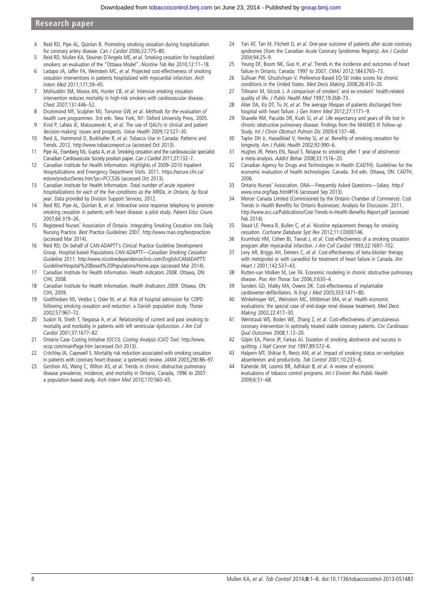- <span id="page-7-0"></span>4 Reid RD, Pipe AL, Quinlan B. Promoting smoking cessation during hospitalization for coronary artery disease. Can J Cardiol 2006;22:775–80.
- 5 Reid RD, Mullen KA, Slovinec D'Angelo ME, et al. Smoking cessation for hospitalized smokers: an evaluation of the "Ottawa Model". Nicotine Tob Res 2010;12:11–18.
- 6 Ladapo JA, Jaffer FA, Weinstein MC, et al. Projected cost-effectiveness of smoking cessation interventions in patients hospitalized with myocardial infarction. Arch Intern Med 2011;171:39–45.
- 7 Mohiuddin SM, Mooss AN, Hunter CB, et al. Intensive smoking cessation intervention reduces mortality in high-risk smokers with cardiovascular disease. Chest 2007;131:446–52.
- 8 Drummond MF, Sculpher MJ, Torrance GW, et al. Methods for the evaluation of health care programmes. 3rd edn. New York, NY: Oxford University Press, 2005.
- 9 Kind P, Lafata JE, Matuszewski K, et al. The use of QALYs in clinical and patient decision-making: issues and prospects. Value Health 2009;12:S27–30.
- 10 Reid JL, Hammond D, Burkhalter R, et al. Tobacco Use in Canada: Patterns and Trends. 2012.<http://www.tobaccoreport.ca> (accessed Oct 2013).
- 11 Pipe AL, Eisenberg MJ, Gupta A, et al. Smoking cessation and the cardiovascular specialist: Canadian Cardiovascular Society position paper. Can J Cardiol 2011;27:132–7.
- 12 Canadian Institute for Health Information. Highlights of 2009–2010 Inpatient Hospitalizations and Emergency Department Visits. 2011. [https://secure.cihi.ca/](https://secure.cihi.ca/estore/productSeries.htm?pc=PCC526) [estore/productSeries.htm?pc=PCC526](https://secure.cihi.ca/estore/productSeries.htm?pc=PCC526) (accessed Oct 2013).
- 13 Canadian Institute for Health Information. Total number of acute inpatient hospitalizations for each of the five conditions as the MRDx, in Ontario, by fiscal year. Data provided by Division Support Services, 2012.
- 14 Reid RD, Pipe AL, Quinlan B, et al. Interactive voice response telephony to promote smoking cessation in patients with heart disease: a pilot study. Patient Educ Couns 2007;66:319–26.
- 15 Registered Nurses' Association of Ontario. Integrating Smoking Cessation into Daily Nursing Practice. Best Practice Guidelines 2007.<http://www.rnao.org/bestpractices> (accessed Mar 2014).
- 16 Reid RD; On behalf of CAN-ADAPTT's Clinical Practice Guideline Development Group. Hospital-based Populations CAN-ADAPTT—Canadian Smoking Cessation Guideline 2011. [http://www.nicotinedependenceclinic.com/English/CANADAPTT/](http://www.nicotinedependenceclinic.com/English/CANADAPTT/Guideline/Hospital%20Based%20Populations/Home.aspx) [Guideline/Hospital%20Based%20Populations/Home.aspx](http://www.nicotinedependenceclinic.com/English/CANADAPTT/Guideline/Hospital%20Based%20Populations/Home.aspx) (accessed Mar 2014).
- 17 Canadian Institute for Health Information. Health indicators 2008. Ottawa, ON: CIHI, 2008.
- 18 Canadian Institute for Health Information. Health iIndicators 2009. Ottawa, ON: CIHI, 2009.
- 19 Godtfredsen NS, Vestbo J, Osler M, et al. Risk of hospital admission for COPD following smoking cessation and reduction: a Danish population study. Thorax 2002;57:967–72.
- 20 Suskin N, Sheth T, Negassa A, et al. Relationship of current and past smoking to mortality and morbidity in patients with left ventricular dysfunction. J Am Coll Cardiol 2001;37:1677–82.
- 21 Ontario Case Costing Initiative (OCCI). Costing Analysis (CAT) Tool. [http://www.](http://www.occp.com/mainPage.htm) [occp.com/mainPage.htm](http://www.occp.com/mainPage.htm) (accessed Oct 2013).
- 22 Critchley JA, Capewell S. Mortality risk reduction associated with smoking cessation in patients with coronary heart disease: a systematic review. JAMA 2003;290:86–97.
- 23 Gershon AS, Wang C, Wilton AS, et al. Trends in chronic obstructive pulmonary disease prevalence, incidence, and mortality in Ontario, Canada, 1996 to 2007: a population-based study. Arch Intern Med 2010;170:560–65.
- 24 Yan AT, Tan M, Fitchett D, et al. One-year outcome of patients after acute coronary syndromes (from the Canadian Acute Coronary Syndromes Registry). Am J Cardiol 2004;94:25–9.
- 25 Yeung DF, Boom NK, Guo H, et al. Trends in the incidence and outcomes of heart failure in Ontario, Canada: 1997 to 2007. CMAJ 2012;184:E765–73.
- 26 Sullivan PW, Ghushchyan V. Preference-Based EQ-5D index scores for chronic conditions in the United States. Med Decis Making 2006;26:410–20.
- 27 Tillmann M, Silcock J. A comparison of smokers' and ex-smokers' health-related quality of life. J Public Health Med 1997;19:268–73.
- 28 Alter DA, Ko DT, Tu JV, et al. The average lifespan of patients discharged from hospital with heart failure. J Gen Intern Med 2012;27:1171–9.
- 29 Shavelle RM, Paculdo DR, Kush SJ, et al. Life expectancy and years of life lost in chronic obstructive pulmonary disease: findings from the NHANES III Follow-up Study. Int J Chron Obstruct Pulmon Dis 2009;4:137–48.
- 30 Taylor DH Jr, Hasselblad V, Henley SJ, et al. Benefits of smoking cessation for longevity. Am J Public Health 2002;92:990–6.
- 31 Hughes JR, Peters EN, Naud S. Relapse to smoking after 1 year of abstinence: a meta-analysis. Addict Behav 2008;33:1516–20.
- 32 Canadian Agency for Drugs and Technologies in Health (CADTH). Guidelines for the economic evaluation of health technologies: Canada. 3rd edn. Ottawa, ON: CADTH, 2006.
- 33 Ontario Nurses' Association. ONA—Frequently Asked Questions—Salary. [http://](http://www.ona.org/faqs.html#f16) [www.ona.org/faqs.html#f16](http://www.ona.org/faqs.html#f16) (accessed Sep 2013).
- 34 Mercer Canada Limited (Commisioned by the Ontario Chamber of Commerce). Cost Trends in Health Benefits for Ontario Businesses: Analysis for Discussion. 2011. [http://www.occ.ca/Publications/Cost-Trends-in-Health-Bene](http://www.occ.ca/Publications/Cost-Trends-in-Health-Benefits-Report.pdf)fits-Report.pdf (accessed Feb 2014).
- 35 Stead LF, Perera R, Bullen C, et al. Nicotine replacement therapy for smoking cessation. Cochrane Database Syst Rev 2012;11:CD000146.
- 36 Krumholz HM, Cohen BJ, Tsevat J, et al. Cost-effectiveness of a smoking cessation program after myocardial infarction. J Am Coll Cardiol 1993;22:1697-702.
- 37 Levy AR, Briggs AH, Demers C, et al. Cost-effectiveness of beta-blocker therapy with metoprolol or with carvedilol for treatment of heart failure in Canada. Am Heart J 2001;142:537–43.
- 38 Rutten-van Molken M, Lee TA. Economic modeling in chronic obstructive pulmonary disease. Proc Am Thorac Soc 2006;3:630–4.
- 39 Sanders GD, Hlatky MA, Owens DK. Cost-effectiveness of implantable cardioverter-defibrillators. N Engl J Med 2005;353:1471–80.
- 40 Winkelmayer WC, Weinstein MC, Mittleman MA, et al. Health economic evaluations: the special case of end-stage renal disease treatment. Med Decis Making 2002;22:417–30.
- 41 Weintraub WS, Boden WE, Zhang Z, et al. Cost-effectiveness of percutaneous coronary intervention in optimally treated stable coronary patients. Circ Cardiovasc Qual Outcomes 2008;1:12–20.
- 42 Gilpin EA, Pierce JP, Farkas AJ. Duration of smoking abstinence and success in quitting. J Natl Cancer Inst 1997;89:572-6.
- 43 Halpern MT, Shikiar R, Rentz AM, et al. Impact of smoking status on workplace absenteeism and productivity. Tob Control 2001;10:233–8.
- 44 Kahende JW, Loomis BR, Adhikari B, et al. A review of economic evaluations of tobacco control programs. Int J Environ Res Public Health 2009;6:51–68.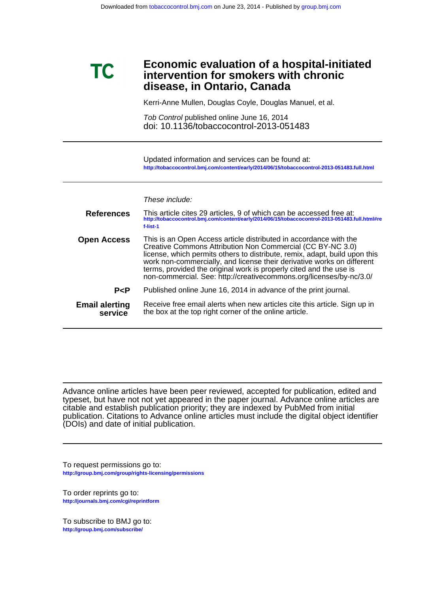# **disease, in Ontario, Canada intervention for smokers with chronic Economic evaluation of a hospital-initiated**

Kerri-Anne Mullen, Douglas Coyle, Douglas Manuel, et al.

doi: 10.1136/tobaccocontrol-2013-051483 Tob Control published online June 16, 2014

**<http://tobaccocontrol.bmj.com/content/early/2014/06/15/tobaccocontrol-2013-051483.full.html>** Updated information and services can be found at:

# These include:

**TC** 

| <b>References</b>                | This article cites 29 articles, 9 of which can be accessed free at:<br>http://tobaccocontrol.bmj.com/content/early/2014/06/15/tobaccocontrol-2013-051483.full.html#re<br>f-list-1                                                                                                                                                                                                                                                    |
|----------------------------------|--------------------------------------------------------------------------------------------------------------------------------------------------------------------------------------------------------------------------------------------------------------------------------------------------------------------------------------------------------------------------------------------------------------------------------------|
| <b>Open Access</b>               | This is an Open Access article distributed in accordance with the<br>Creative Commons Attribution Non Commercial (CC BY-NC 3.0)<br>license, which permits others to distribute, remix, adapt, build upon this<br>work non-commercially, and license their derivative works on different<br>terms, provided the original work is properly cited and the use is<br>non-commercial. See: http://creativecommons.org/licenses/by-nc/3.0/ |
| P < P                            | Published online June 16, 2014 in advance of the print journal.                                                                                                                                                                                                                                                                                                                                                                      |
| <b>Email alerting</b><br>service | Receive free email alerts when new articles cite this article. Sign up in<br>the box at the top right corner of the online article.                                                                                                                                                                                                                                                                                                  |

(DOIs) and date of initial publication. publication. Citations to Advance online articles must include the digital object identifier citable and establish publication priority; they are indexed by PubMed from initial typeset, but have not not yet appeared in the paper journal. Advance online articles are Advance online articles have been peer reviewed, accepted for publication, edited and

**<http://group.bmj.com/group/rights-licensing/permissions>** To request permissions go to:

**<http://journals.bmj.com/cgi/reprintform>** To order reprints go to:

**<http://group.bmj.com/subscribe/>** To subscribe to BMJ go to: